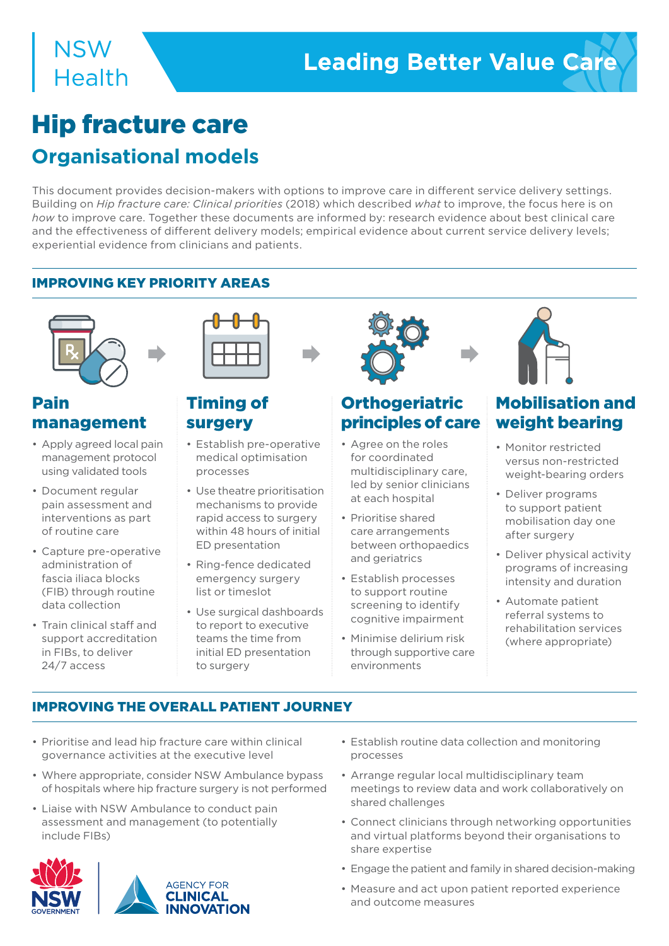# Hip fracture care **Organisational models**

This document provides decision-makers with options to improve care in different service delivery settings. Building on *Hip fracture care: Clinical priorities* (2018) which described *what* to improve, the focus here is on *how* to improve care. Together these documents are informed by: research evidence about best clinical care and the effectiveness of different delivery models; empirical evidence about current service delivery levels; experiential evidence from clinicians and patients.

#### IMPROVING KEY PRIORITY AREAS



### Pain management

- Apply agreed local pain management protocol using validated tools
- Document regular pain assessment and interventions as part of routine care
- Capture pre-operative administration of fascia iliaca blocks (FIB) through routine data collection
- Train clinical staff and support accreditation in FIBs, to deliver 24/7 access



### Timing of surgery

- Establish pre-operative medical optimisation processes
- Use theatre prioritisation mechanisms to provide rapid access to surgery within 48 hours of initial ED presentation
- Ring-fence dedicated emergency surgery list or timeslot
- Use surgical dashboards to report to executive teams the time from initial ED presentation to surgery



# **Orthogeriatric** principles of care

- Agree on the roles for coordinated multidisciplinary care, led by senior clinicians at each hospital
- Prioritise shared care arrangements between orthopaedics and geriatrics
- Establish processes to support routine screening to identify cognitive impairment
- Minimise delirium risk through supportive care environments



# Mobilisation and weight bearing

- Monitor restricted versus non-restricted weight-bearing orders
- Deliver programs to support patient mobilisation day one after surgery
- Deliver physical activity programs of increasing intensity and duration
- Automate patient referral systems to rehabilitation services (where appropriate)

### IMPROVING THE OVERALL PATIENT JOURNEY

- Prioritise and lead hip fracture care within clinical governance activities at the executive level
- Where appropriate, consider NSW Ambulance bypass of hospitals where hip fracture surgery is not performed
- Liaise with NSW Ambulance to conduct pain assessment and management (to potentially include FIBs)



- Establish routine data collection and monitoring processes
- Arrange regular local multidisciplinary team meetings to review data and work collaboratively on shared challenges
- Connect clinicians through networking opportunities and virtual platforms beyond their organisations to share expertise
- Engage the patient and family in shared decision-making
- Measure and act upon patient reported experience and outcome measures